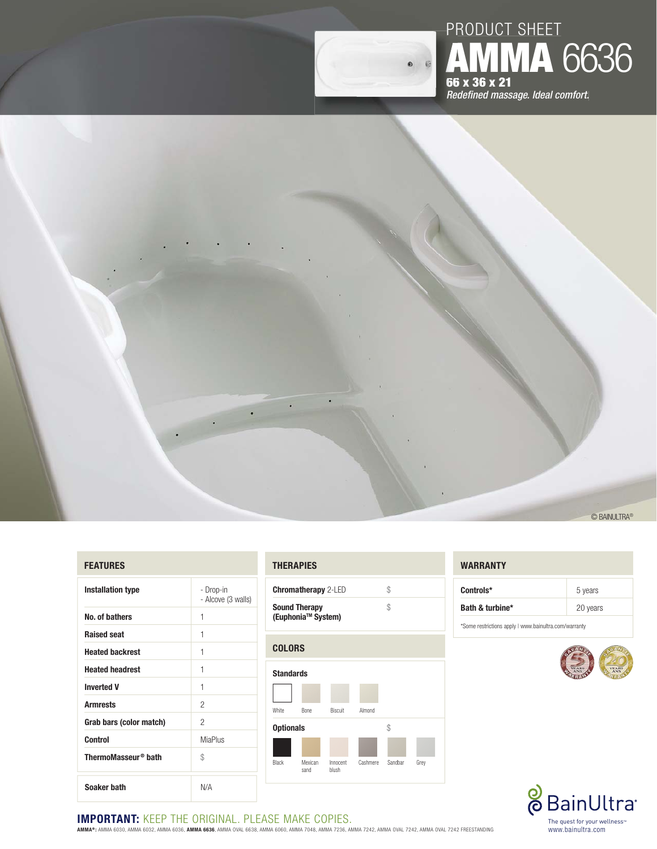

# $\ddot{\phantom{0}}$ © BAINULTRA®

# **FEATURES**

| <b>Installation type</b>        | - Drop-in<br>- Alcove (3 walls) |
|---------------------------------|---------------------------------|
| No. of bathers                  | 1                               |
| <b>Raised seat</b>              | 1                               |
| <b>Heated backrest</b>          | 1                               |
| <b>Heated headrest</b>          | 1                               |
| <b>Inverted V</b>               | 1                               |
| <b>Armrests</b>                 | 2                               |
| Grab bars (color match)         | 2                               |
| <b>Control</b>                  | <b>MiaPlus</b>                  |
| ThermoMasseur <sup>®</sup> bath | \$                              |
| Soaker bath                     | N/A                             |

### **THERAPIES**

| <b>Chromatherapy</b> 2-LED                             |  |
|--------------------------------------------------------|--|
| <b>Sound Therapy</b><br>(Euphonia <sup>™</sup> System) |  |



# **WARRANTY**

| Controls*       | 5 years  |
|-----------------|----------|
| Bath & turbine* | 20 years |

**AMMA** 6636

\* Some restrictions apply | www.bainultra.com/warranty





# **IMPORTANT: KEEP THE ORIGINAL. PLEASE MAKE COPIES.**

**AMMA® :** AMMA 6030, AMMA 6032, AMMA 6036, **AMMA 6636**, AMMA OVAL 6638, AMMA 6060, AMMA 7048, AMMA 7236, AMMA 7242, AMMA OVAL 7242, AMMA OVAL 7242 FREESTANDING